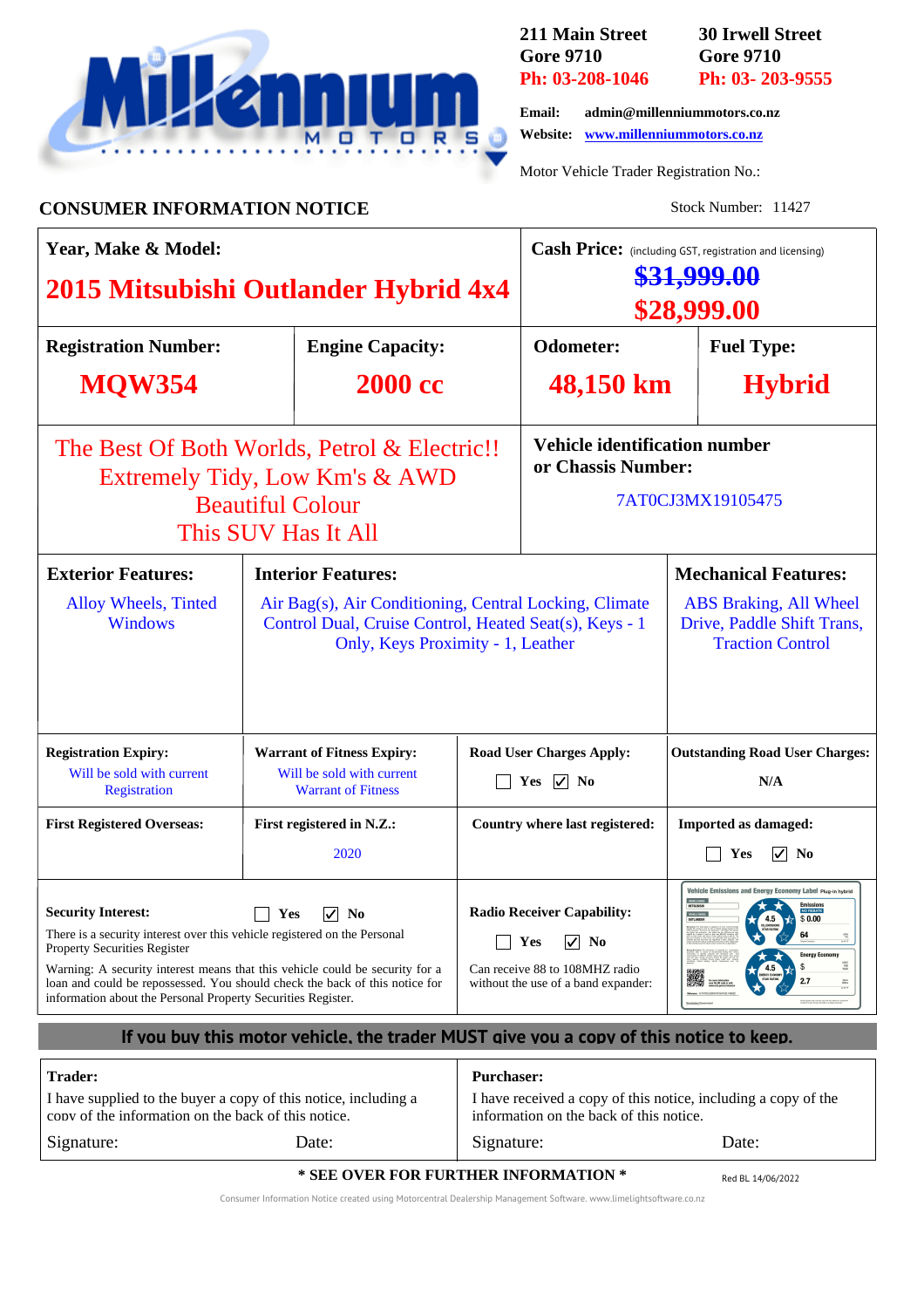

**211 Main Street Gore 9710 Ph: 03-208-1046** **30 Irwell Street Gore 9710 Ph: 03- 203-9555**

**Email: admin@millenniummotors.co.nz Website: www.millenniummotors.co.nz**

Motor Vehicle Trader Registration No.:

**CONSUMER INFORMATION NOTICE** Stock Number: 11427

| Year, Make & Model:                                                                                                                                                                                                                                                                                                                                                                                                |                                                                                                                                                       |                           |                                                                                                                                                   | Cash Price: (including GST, registration and licensing)<br><del>\$31,999.00</del><br>\$28,999.00                               |                             |                                                                                                                                                                          |  |
|--------------------------------------------------------------------------------------------------------------------------------------------------------------------------------------------------------------------------------------------------------------------------------------------------------------------------------------------------------------------------------------------------------------------|-------------------------------------------------------------------------------------------------------------------------------------------------------|---------------------------|---------------------------------------------------------------------------------------------------------------------------------------------------|--------------------------------------------------------------------------------------------------------------------------------|-----------------------------|--------------------------------------------------------------------------------------------------------------------------------------------------------------------------|--|
| 2015 Mitsubishi Outlander Hybrid 4x4                                                                                                                                                                                                                                                                                                                                                                               |                                                                                                                                                       |                           |                                                                                                                                                   |                                                                                                                                |                             |                                                                                                                                                                          |  |
| <b>Registration Number:</b>                                                                                                                                                                                                                                                                                                                                                                                        |                                                                                                                                                       | <b>Engine Capacity:</b>   |                                                                                                                                                   | <b>Odometer:</b>                                                                                                               |                             | <b>Fuel Type:</b>                                                                                                                                                        |  |
| <b>MOW354</b>                                                                                                                                                                                                                                                                                                                                                                                                      |                                                                                                                                                       | <b>2000 cc</b>            |                                                                                                                                                   | 48,150 km                                                                                                                      |                             | <b>Hybrid</b>                                                                                                                                                            |  |
| The Best Of Both Worlds, Petrol & Electric!!<br>Extremely Tidy, Low Km's & AWD<br><b>Beautiful Colour</b><br>This SUV Has It All                                                                                                                                                                                                                                                                                   |                                                                                                                                                       |                           |                                                                                                                                                   | <b>Vehicle identification number</b><br>or Chassis Number:<br>7AT0CJ3MX19105475                                                |                             |                                                                                                                                                                          |  |
| <b>Exterior Features:</b>                                                                                                                                                                                                                                                                                                                                                                                          | <b>Interior Features:</b>                                                                                                                             |                           |                                                                                                                                                   |                                                                                                                                | <b>Mechanical Features:</b> |                                                                                                                                                                          |  |
| Alloy Wheels, Tinted<br><b>Windows</b>                                                                                                                                                                                                                                                                                                                                                                             | Air Bag(s), Air Conditioning, Central Locking, Climate<br>Control Dual, Cruise Control, Heated Seat(s), Keys - 1<br>Only, Keys Proximity - 1, Leather |                           |                                                                                                                                                   |                                                                                                                                |                             | <b>ABS</b> Braking, All Wheel<br>Drive, Paddle Shift Trans,<br><b>Traction Control</b>                                                                                   |  |
| <b>Registration Expiry:</b><br>Will be sold with current<br>Registration                                                                                                                                                                                                                                                                                                                                           | <b>Warrant of Fitness Expiry:</b><br>Will be sold with current<br><b>Warrant of Fitness</b>                                                           |                           |                                                                                                                                                   | <b>Road User Charges Apply:</b><br>Yes $\boxed{\checkmark}$ No                                                                 |                             | <b>Outstanding Road User Charges:</b><br>N/A                                                                                                                             |  |
| <b>First Registered Overseas:</b>                                                                                                                                                                                                                                                                                                                                                                                  |                                                                                                                                                       | First registered in N.Z.: | Country where last registered:                                                                                                                    |                                                                                                                                |                             | <b>Imported as damaged:</b>                                                                                                                                              |  |
|                                                                                                                                                                                                                                                                                                                                                                                                                    | 2020                                                                                                                                                  |                           |                                                                                                                                                   |                                                                                                                                | Yes<br>$\sqrt{ }$ No        |                                                                                                                                                                          |  |
| <b>Security Interest:</b><br>$\sqrt{}$<br>N <sub>0</sub><br>Yes<br>There is a security interest over this vehicle registered on the Personal<br><b>Property Securities Register</b><br>Warning: A security interest means that this vehicle could be security for a<br>loan and could be repossessed. You should check the back of this notice for<br>information about the Personal Property Securities Register. |                                                                                                                                                       |                           | <b>Radio Receiver Capability:</b><br>$ \overline{\mathbf{v}} $ No<br>Yes<br>Can receive 88 to 108MHZ radio<br>without the use of a band expander: |                                                                                                                                | VEHICLE HOOD:<br>CUTLANICER | Vehicle Emissions and Energy Economy Label Plug-in hybrid<br><b>Emissions</b><br>No redate<br>\$0.00<br>64<br>TEST<br>TEM<br>MATY<br>\$<br>2.7<br>$_{\rm max}^{\rm box}$ |  |
| If you buy this motor vehicle, the trader MUST give you a copy of this notice to keep.                                                                                                                                                                                                                                                                                                                             |                                                                                                                                                       |                           |                                                                                                                                                   |                                                                                                                                |                             |                                                                                                                                                                          |  |
| <b>Trader:</b><br>I have supplied to the buyer a copy of this notice, including a<br>conv of the information on the back of this notice.                                                                                                                                                                                                                                                                           |                                                                                                                                                       |                           |                                                                                                                                                   | <b>Purchaser:</b><br>I have received a copy of this notice, including a copy of the<br>information on the back of this notice. |                             |                                                                                                                                                                          |  |
| Signature:                                                                                                                                                                                                                                                                                                                                                                                                         | Date:                                                                                                                                                 |                           |                                                                                                                                                   | Signature:<br>Date:                                                                                                            |                             |                                                                                                                                                                          |  |
| * SEE OVER FOR FURTHER INFORMATION *<br>Red BL 14/06/2022                                                                                                                                                                                                                                                                                                                                                          |                                                                                                                                                       |                           |                                                                                                                                                   |                                                                                                                                |                             |                                                                                                                                                                          |  |

Consumer Information Notice created using Motorcentral Dealership Management Software. www.limelightsoftware.co.nz